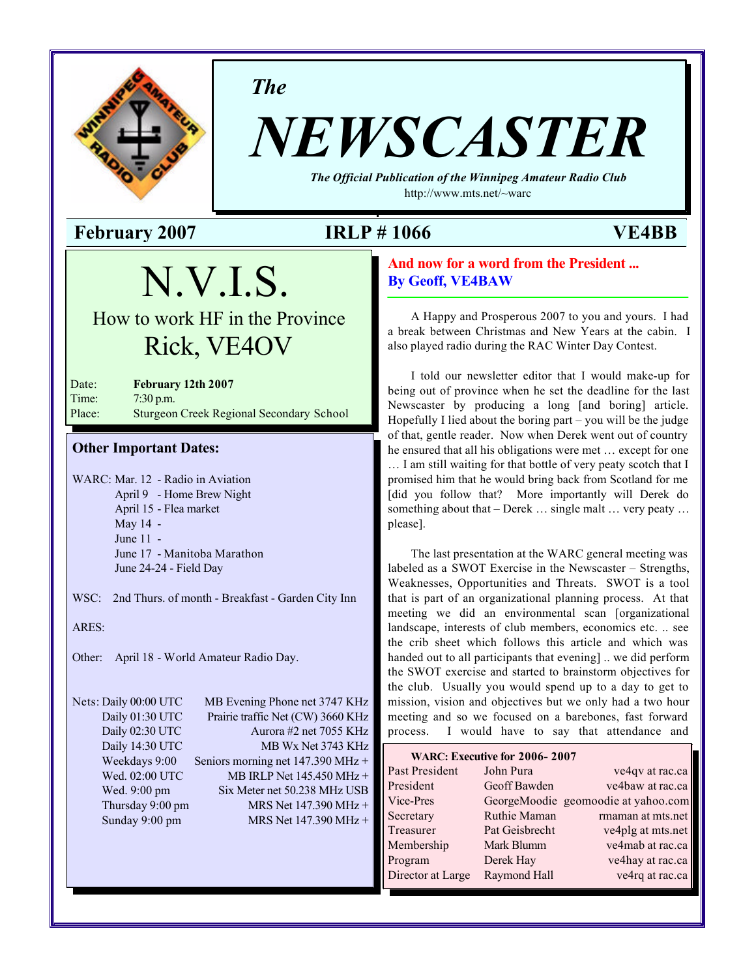

*The*

# *NEWSCASTER*

*The Official Publication of the Winnipeg Amateur Radio Club* <http://www.mts.net/~warc>

**February 2007 IRLP # 1066 VE4BB**

# N.V.I.S.

How to work HF in the Province Rick, VE4OV

Date: **February 12th 2007** Time: 7:30 p.m. Place: Sturgeon Creek Regional Secondary School

# **Other Important Dates:**

WARC: Mar. 12 - Radio in Aviation April 9 - Home Brew Night April 15 - Flea market May 14 - June 11 - June 17 - Manitoba Marathon June 24-24 - Field Day

WSC: 2nd Thurs. of month - Breakfast - Garden City Inn

ARES:

Other: April 18 - World Amateur Radio Day.

Nets: Daily 00:00 UTC MB Evening Phone net 3747 KHz Daily 01:30 UTC Prairie traffic Net (CW) 3660 KHz Daily 02:30 UTC Aurora #2 net 7055 KHz Daily 14:30 UTC MB Wx Net 3743 KHz Weekdays 9:00 Seniors morning net 147.390 MHz + Wed. 02:00 UTC MB IRLP Net 145.450 MHz + Wed. 9:00 pm Six Meter net 50.238 MHz USB Thursday 9:00 pm MRS Net  $147.390 \text{ MHz} +$ Sunday 9:00 pm MRS Net 147.390 MHz +

**And now for a word from the President ... By Geoff, VE4BAW**

A Happy and Prosperous 2007 to you and yours. I had a break between Christmas and New Years at the cabin. I also played radio during the RAC Winter Day Contest.

I told our newsletter editor that I would make-up for being out of province when he set the deadline for the last Newscaster by producing a long [and boring] article. Hopefully I lied about the boring part – you will be the judge of that, gentle reader. Now when Derek went out of country he ensured that all his obligations were met … except for one … I am still waiting for that bottle of very peaty scotch that I promised him that he would bring back from Scotland for me [did you follow that? More importantly will Derek do something about that – Derek … single malt … very peaty … please].

The last presentation at the WARC general meeting was labeled as a SWOT Exercise in the Newscaster – Strengths, Weaknesses, Opportunities and Threats. SWOT is a tool that is part of an organizational planning process. At that meeting we did an environmental scan [organizational landscape, interests of club members, economics etc. .. see the crib sheet which follows this article and which was handed out to all participants that evening] .. we did perform the SWOT exercise and started to brainstorm objectives for the club. Usually you would spend up to a day to get to mission, vision and objectives but we only had a two hour meeting and so we focused on a barebones, fast forward process. I would have to say that attendance and

| WARC: Executive for 2006-2007 |                |                                     |  |  |  |
|-------------------------------|----------------|-------------------------------------|--|--|--|
| Past President                | John Pura      | ve4qv at rac.ca                     |  |  |  |
| President                     | Geoff Bawden   | ve4baw at rac.ca                    |  |  |  |
| Vice-Pres                     |                | GeorgeMoodie geomoodie at yahoo.com |  |  |  |
| Secretary                     | Ruthie Maman   | rmaman at mts.net                   |  |  |  |
| Treasurer                     | Pat Geisbrecht | ve4plg at mts.net                   |  |  |  |
| Membership                    | Mark Blumm     | ve4mab at rac.ca                    |  |  |  |
| Program                       | Derek Hay      | ve4hay at rac.ca                    |  |  |  |
| Director at Large             | Raymond Hall   | ve4rq at rac.ca                     |  |  |  |
|                               |                |                                     |  |  |  |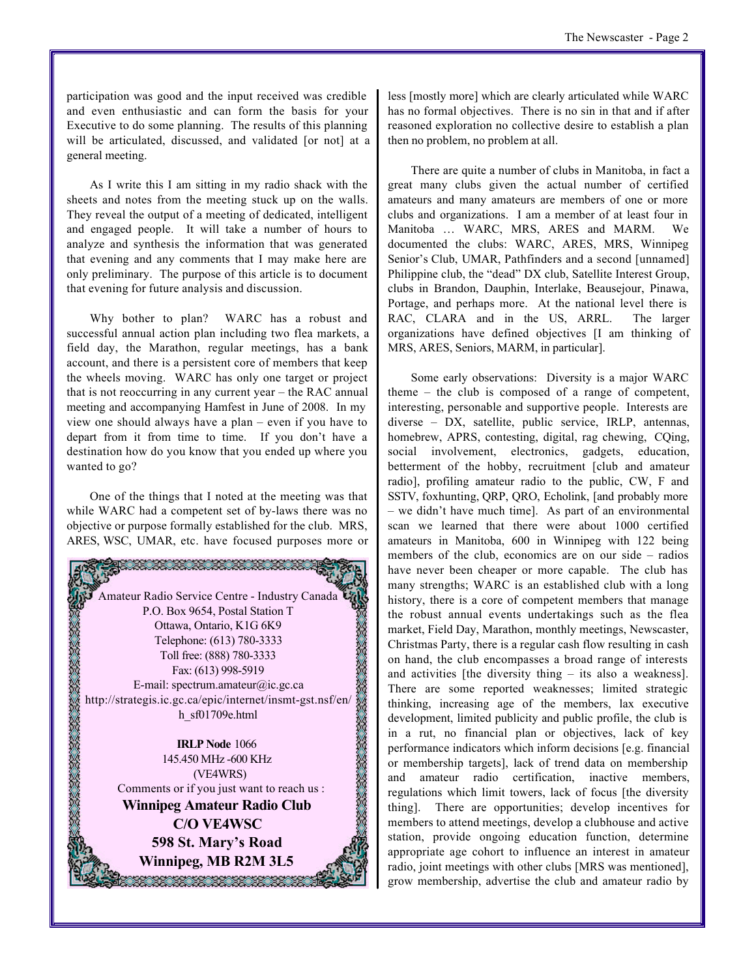participation was good and the input received was credible and even enthusiastic and can form the basis for your Executive to do some planning. The results of this planning will be articulated, discussed, and validated [or not] at a general meeting.

As I write this I am sitting in my radio shack with the sheets and notes from the meeting stuck up on the walls. They reveal the output of a meeting of dedicated, intelligent and engaged people. It will take a number of hours to analyze and synthesis the information that was generated that evening and any comments that I may make here are only preliminary. The purpose of this article is to document that evening for future analysis and discussion.

Why bother to plan? WARC has a robust and successful annual action plan including two flea markets, a field day, the Marathon, regular meetings, has a bank account, and there is a persistent core of members that keep the wheels moving. WARC has only one target or project that is not reoccurring in any current year – the RAC annual meeting and accompanying Hamfest in June of 2008. In my view one should always have a plan – even if you have to depart from it from time to time. If you don't have a destination how do you know that you ended up where you wanted to go?

One of the things that I noted at the meeting was that while WARC had a competent set of by-laws there was no objective or purpose formally established for the club. MRS, ARES, WSC, UMAR, etc. have focused purposes more or



less [mostly more] which are clearly articulated while WARC has no formal objectives. There is no sin in that and if after reasoned exploration no collective desire to establish a plan then no problem, no problem at all.

There are quite a number of clubs in Manitoba, in fact a great many clubs given the actual number of certified amateurs and many amateurs are members of one or more clubs and organizations. I am a member of at least four in Manitoba … WARC, MRS, ARES and MARM. We documented the clubs: WARC, ARES, MRS, Winnipeg Senior's Club, UMAR, Pathfinders and a second [unnamed] Philippine club, the "dead" DX club, Satellite Interest Group, clubs in Brandon, Dauphin, Interlake, Beausejour, Pinawa, Portage, and perhaps more. At the national level there is RAC, CLARA and in the US, ARRL. The larger organizations have defined objectives [I am thinking of MRS, ARES, Seniors, MARM, in particular].

Some early observations: Diversity is a major WARC theme – the club is composed of a range of competent, interesting, personable and supportive people. Interests are diverse – DX, satellite, public service, IRLP, antennas, homebrew, APRS, contesting, digital, rag chewing, CQing, social involvement, electronics, gadgets, education, betterment of the hobby, recruitment [club and amateur radio], profiling amateur radio to the public, CW, F and SSTV, foxhunting, QRP, QRO, Echolink, [and probably more – we didn't have much time]. As part of an environmental scan we learned that there were about 1000 certified amateurs in Manitoba, 600 in Winnipeg with 122 being members of the club, economics are on our side – radios have never been cheaper or more capable. The club has many strengths; WARC is an established club with a long history, there is a core of competent members that manage the robust annual events undertakings such as the flea market, Field Day, Marathon, monthly meetings, Newscaster, Christmas Party, there is a regular cash flow resulting in cash on hand, the club encompasses a broad range of interests and activities [the diversity thing – its also a weakness]. There are some reported weaknesses; limited strategic thinking, increasing age of the members, lax executive development, limited publicity and public profile, the club is in a rut, no financial plan or objectives, lack of key performance indicators which inform decisions [e.g. financial or membership targets], lack of trend data on membership and amateur radio certification, inactive members, regulations which limit towers, lack of focus [the diversity thing]. There are opportunities; develop incentives for members to attend meetings, develop a clubhouse and active station, provide ongoing education function, determine appropriate age cohort to influence an interest in amateur radio, joint meetings with other clubs [MRS was mentioned], grow membership, advertise the club and amateur radio by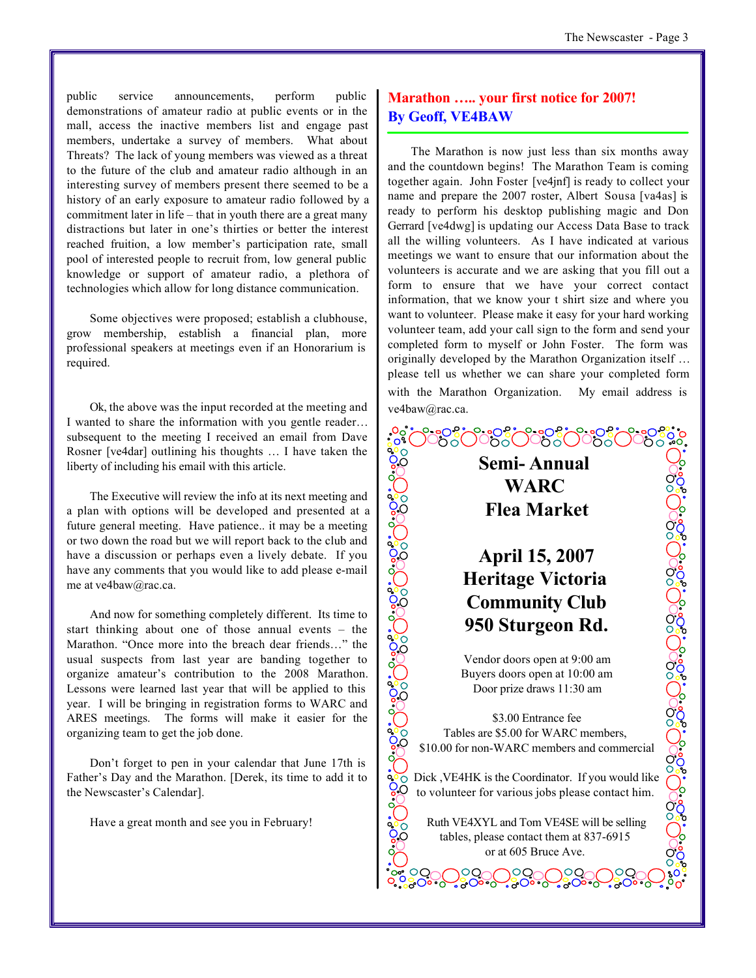public service announcements, perform public demonstrations of amateur radio at public events or in the mall, access the inactive members list and engage past members, undertake a survey of members. What about Threats? The lack of young members was viewed as a threat to the future of the club and amateur radio although in an interesting survey of members present there seemed to be a history of an early exposure to amateur radio followed by a commitment later in life – that in youth there are a great many distractions but later in one's thirties or better the interest reached fruition, a low member's participation rate, small pool of interested people to recruit from, low general public knowledge or support of amateur radio, a plethora of technologies which allow for long distance communication.

Some objectives were proposed; establish a clubhouse, grow membership, establish a financial plan, more professional speakers at meetings even if an Honorarium is required.

Ok, the above was the input recorded at the meeting and I wanted to share the information with you gentle reader… subsequent to the meeting I received an email from Dave Rosner [ve4dar] outlining his thoughts … I have taken the liberty of including his email with this article.

The Executive will review the info at its next meeting and a plan with options will be developed and presented at a future general meeting. Have patience.. it may be a meeting or two down the road but we will report back to the club and have a discussion or perhaps even a lively debate. If you have any comments that you would like to add please e-mail me at ve4baw@rac.ca.

And now for something completely different. Its time to start thinking about one of those annual events – the Marathon. "Once more into the breach dear friends…" the usual suspects from last year are banding together to organize amateur's contribution to the 2008 Marathon. Lessons were learned last year that will be applied to this year. I will be bringing in registration forms to WARC and ARES meetings. The forms will make it easier for the organizing team to get the job done.

Don't forget to pen in your calendar that June 17th is Father's Day and the Marathon. [Derek, its time to add it to the Newscaster's Calendar].

Have a great month and see you in February!

# **Marathon ….. your first notice for 2007! By Geoff, VE4BAW**

The Marathon is now just less than six months away and the countdown begins! The Marathon Team is coming together again. John Foster [ve4jnf] is ready to collect your name and prepare the 2007 roster, Albert Sousa [va4as] is ready to perform his desktop publishing magic and Don Gerrard [ve4dwg] is updating our Access Data Base to track all the willing volunteers. As I have indicated at various meetings we want to ensure that our information about the volunteers is accurate and we are asking that you fill out a form to ensure that we have your correct contact information, that we know your t shirt size and where you want to volunteer. Please make it easy for your hard working volunteer team, add your call sign to the form and send your completed form to myself or John Foster. The form was originally developed by the Marathon Organization itself … please tell us whether we can share your completed form with the Marathon Organization. My email address is ve4baw@rac.ca.

# **Semi- Annual WARC Flea Market**

 $\frac{0}{0^9}$ 

ွင့္ ၂၀၁၀ ၂၀၁၀ ၂၀၁၀ (

**Ceccc** 

# **April 15, 2007 Heritage Victoria Community Club 950 Sturgeon Rd.**

Vendor doors open at 9:00 am Buyers doors open at 10:00 am Door prize draws 11:30 am

း၀ႏွင့္ ႏွင့္ ၁၀၀ (၂၀၀၄) ၁၀၀၄ (၂၀၀၄) ၂၀၀၄ (၂၀၀၄) ၁၀၀<br>၁၀၀၄ (၂၀၀၄) ၁၀၀၄ (၂၀၀၄ (၂၀၀၄) ၁၀၀၄ (၂၀၀၄ (၂၀၀၄) ၁၀၀

\$3.00 Entrance fee Tables are \$5.00 for WARC members, \$10.00 for non-WARC members and commercial

Boood<br>Doood Dick ,VE4HK is the Coordinator. If you would like to volunteer for various jobs please contact him.

> Ruth VE4XYL and Tom VE4SE will be selling tables, please contact them at 837-6915 or at 605 Bruce Ave.

> > ,OO,

,OQ

 $\circ$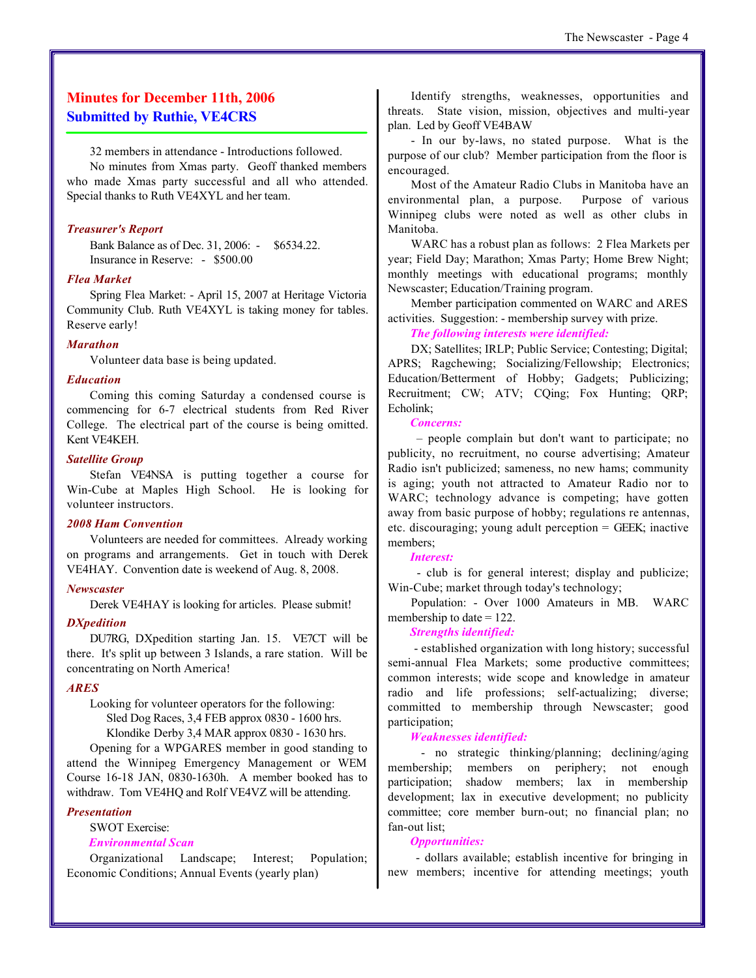# **Minutes for December 11th, 2006 Submitted by Ruthie, VE4CRS**

32 members in attendance - Introductions followed.

No minutes from Xmas party. Geoff thanked members who made Xmas party successful and all who attended. Special thanks to Ruth VE4XYL and her team.

#### *Treasurer's Report*

Bank Balance as of Dec. 31, 2006: - \$6534.22. Insurance in Reserve: - \$500.00

#### *Flea Market*

Spring Flea Market: - April 15, 2007 at Heritage Victoria Community Club. Ruth VE4XYL is taking money for tables. Reserve early!

#### *Marathon*

Volunteer data base is being updated.

#### *Education*

Coming this coming Saturday a condensed course is commencing for 6-7 electrical students from Red River College. The electrical part of the course is being omitted. Kent VE4KEH.

#### *Satellite Group*

Stefan VE4NSA is putting together a course for Win-Cube at Maples High School. He is looking for volunteer instructors.

#### *2008 Ham Convention*

Volunteers are needed for committees. Already working on programs and arrangements. Get in touch with Derek VE4HAY. Convention date is weekend of Aug. 8, 2008.

#### *Newscaster*

Derek VE4HAY is looking for articles. Please submit!

#### *DXpedition*

DU7RG, DXpedition starting Jan. 15. VE7CT will be there. It's split up between 3 Islands, a rare station. Will be concentrating on North America!

#### *ARES*

Looking for volunteer operators for the following: Sled Dog Races, 3,4 FEB approx 0830 - 1600 hrs. Klondike Derby 3,4 MAR approx 0830 - 1630 hrs.

Opening for a WPGARES member in good standing to attend the Winnipeg Emergency Management or WEM Course 16-18 JAN, 0830-1630h. A member booked has to withdraw. Tom VE4HQ and Rolf VE4VZ will be attending.

#### *Presentation*

SWOT Exercise:

### *Environmental Scan*

Organizational Landscape; Interest; Population; Economic Conditions; Annual Events (yearly plan)

Identify strengths, weaknesses, opportunities and threats. State vision, mission, objectives and multi-year plan. Led by Geoff VE4BAW

- In our by-laws, no stated purpose. What is the purpose of our club? Member participation from the floor is encouraged.

Most of the Amateur Radio Clubs in Manitoba have an environmental plan, a purpose. Purpose of various Winnipeg clubs were noted as well as other clubs in Manitoba.

WARC has a robust plan as follows: 2 Flea Markets per year; Field Day; Marathon; Xmas Party; Home Brew Night; monthly meetings with educational programs; monthly Newscaster; Education/Training program.

Member participation commented on WARC and ARES activities. Suggestion: - membership survey with prize.

### *The following interests were identified:*

DX; Satellites; IRLP; Public Service; Contesting; Digital; APRS; Ragchewing; Socializing/Fellowship; Electronics; Education/Betterment of Hobby; Gadgets; Publicizing; Recruitment; CW; ATV; CQing; Fox Hunting; QRP; Echolink;

#### *Concerns:*

 – people complain but don't want to participate; no publicity, no recruitment, no course advertising; Amateur Radio isn't publicized; sameness, no new hams; community is aging; youth not attracted to Amateur Radio nor to WARC; technology advance is competing; have gotten away from basic purpose of hobby; regulations re antennas, etc. discouraging; young adult perception = GEEK; inactive members;

#### *Interest:*

 - club is for general interest; display and publicize; Win-Cube; market through today's technology;

Population: - Over 1000 Amateurs in MB. WARC membership to date  $= 122$ .

#### *Strengths identified:*

 - established organization with long history; successful semi-annual Flea Markets; some productive committees; common interests; wide scope and knowledge in amateur radio and life professions; self-actualizing; diverse; committed to membership through Newscaster; good participation;

#### *Weaknesses identified:*

 - no strategic thinking/planning; declining/aging membership; members on periphery; not enough participation; shadow members; lax in membership development; lax in executive development; no publicity committee; core member burn-out; no financial plan; no fan-out list;

#### *Opportunities:*

 - dollars available; establish incentive for bringing in new members; incentive for attending meetings; youth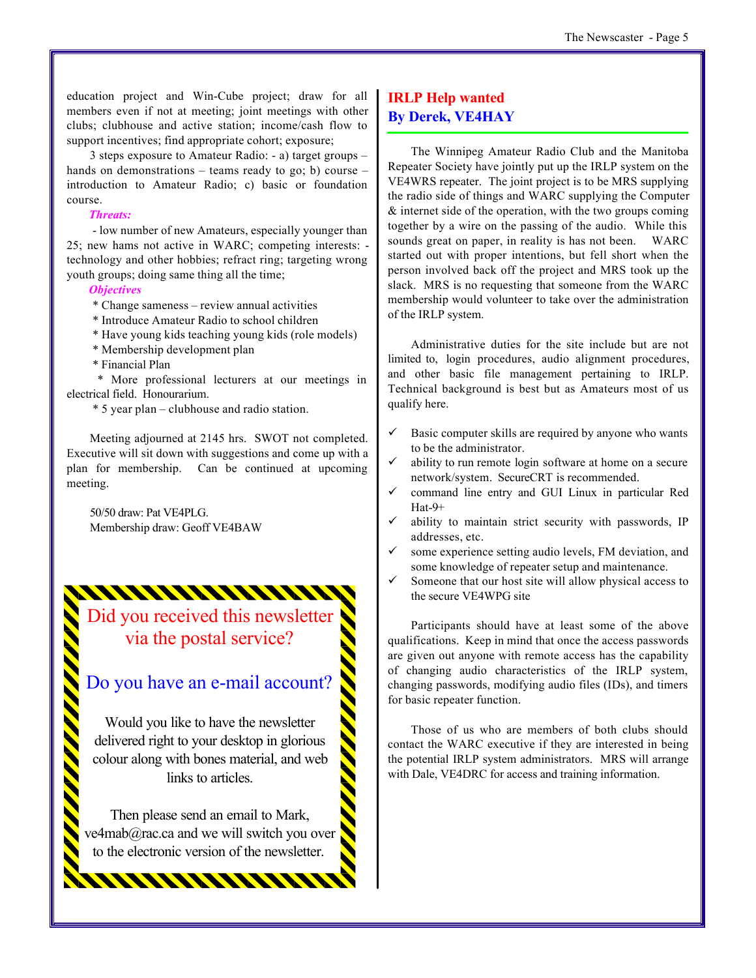education project and Win-Cube project; draw for all members even if not at meeting; joint meetings with other clubs; clubhouse and active station; income/cash flow to support incentives; find appropriate cohort; exposure;

3 steps exposure to Amateur Radio: - a) target groups – hands on demonstrations – teams ready to go; b) course – introduction to Amateur Radio; c) basic or foundation course.

#### *Threats:*

 - low number of new Amateurs, especially younger than 25; new hams not active in WARC; competing interests: technology and other hobbies; refract ring; targeting wrong youth groups; doing same thing all the time;

#### *Objectives*

\* Change sameness – review annual activities

- \* Introduce Amateur Radio to school children
- \* Have young kids teaching young kids (role models)
- \* Membership development plan
- \* Financial Plan

**AAAAAAAAA** 

 \* More professional lecturers at our meetings in electrical field. Honourarium.

\* 5 year plan – clubhouse and radio station.

Meeting adjourned at 2145 hrs. SWOT not completed. Executive will sit down with suggestions and come up with a plan for membership. Can be continued at upcoming meeting.

50/50 draw: Pat VE4PLG. Membership draw: Geoff VE4BAW

Did you received this newsletter via the postal service?

# Do you have an e-mail account?

Would you like to have the newsletter delivered right to your desktop in glorious colour along with bones material, and web links to articles

Then please send an email to Mark, ve4mab@rac.ca and we will switch you over to the electronic version of the newsletter.

# **IRLP Help wanted By Derek, VE4HAY**

The Winnipeg Amateur Radio Club and the Manitoba Repeater Society have jointly put up the IRLP system on the VE4WRS repeater. The joint project is to be MRS supplying the radio side of things and WARC supplying the Computer & internet side of the operation, with the two groups coming together by a wire on the passing of the audio. While this sounds great on paper, in reality is has not been. WARC started out with proper intentions, but fell short when the person involved back off the project and MRS took up the slack. MRS is no requesting that someone from the WARC membership would volunteer to take over the administration of the IRLP system.

Administrative duties for the site include but are not limited to, login procedures, audio alignment procedures, and other basic file management pertaining to IRLP. Technical background is best but as Amateurs most of us qualify here.

- Basic computer skills are required by anyone who wants to be the administrator.
- ability to run remote login software at home on a secure network/system. SecureCRT is recommended.
- ¸ command line entry and GUI Linux in particular Red Hat-9+
- ability to maintain strict security with passwords, IP addresses, etc.
- some experience setting audio levels, FM deviation, and some knowledge of repeater setup and maintenance.
- Someone that our host site will allow physical access to the secure VE4WPG site

Participants should have at least some of the above qualifications. Keep in mind that once the access passwords are given out anyone with remote access has the capability of changing audio characteristics of the IRLP system, changing passwords, modifying audio files (IDs), and timers for basic repeater function.

Those of us who are members of both clubs should contact the WARC executive if they are interested in being the potential IRLP system administrators. MRS will arrange with Dale, VE4DRC for access and training information.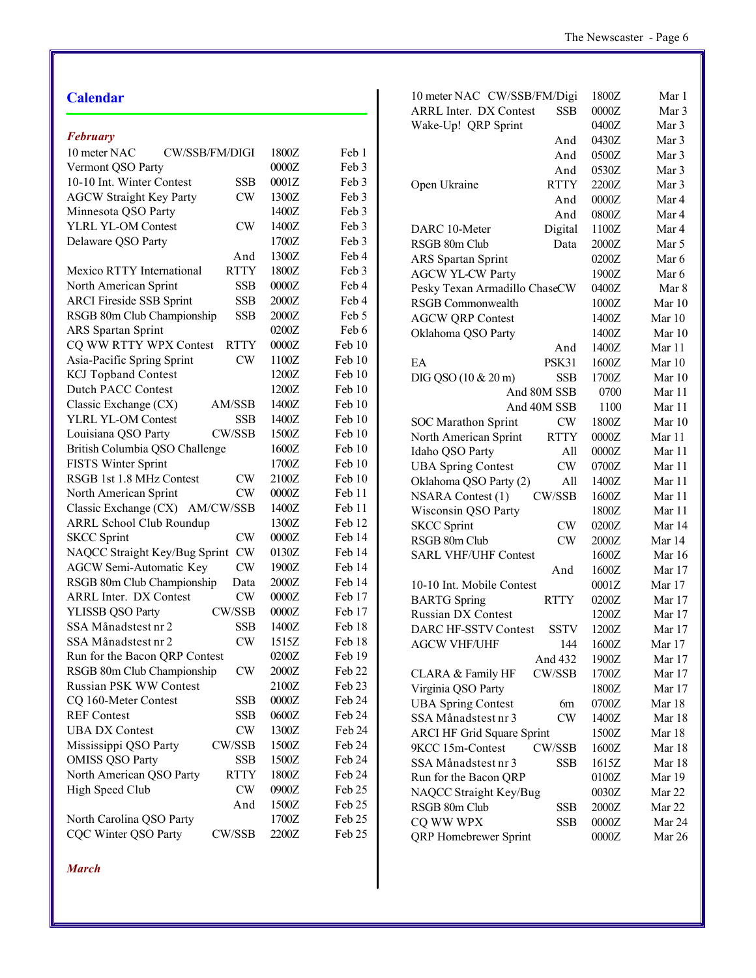# **Calendar**

|  | ebruar |  |
|--|--------|--|
|--|--------|--|

| r coruury                                     |       |        |
|-----------------------------------------------|-------|--------|
| 10 meter NAC<br>CW/SSB/FM/DIGI                | 1800Z | Feb 1  |
| Vermont QSO Party                             | 0000Z | Feb 3  |
| 10-10 Int. Winter Contest<br><b>SSB</b>       | 0001Z | Feb 3  |
| <b>AGCW Straight Key Party</b><br>CW          | 1300Z | Feb 3  |
| Minnesota QSO Party                           | 1400Z | Feb 3  |
| <b>YLRL YL-OM Contest</b><br>CW               | 1400Z | Feb 3  |
| Delaware QSO Party                            | 1700Z | Feb 3  |
| And                                           | 1300Z | Feb 4  |
| <b>RTTY</b><br>Mexico RTTY International      | 1800Z | Feb 3  |
| North American Sprint<br><b>SSB</b>           | 0000Z | Feb 4  |
| <b>ARCI Fireside SSB Sprint</b><br><b>SSB</b> | 2000Z | Feb 4  |
| RSGB 80m Club Championship<br><b>SSB</b>      | 2000Z | Feb 5  |
| <b>ARS</b> Spartan Sprint                     | 0200Z | Feb 6  |
| CQ WW RTTY WPX Contest<br><b>RTTY</b>         | 0000Z | Feb 10 |
| Asia-Pacific Spring Sprint<br>CW              | 1100Z | Feb 10 |
| <b>KCJ</b> Topband Contest                    | 1200Z | Feb 10 |
| <b>Dutch PACC Contest</b>                     | 1200Z | Feb 10 |
| Classic Exchange (CX)<br>AM/SSB               | 1400Z | Feb 10 |
| YLRL YL-OM Contest<br><b>SSB</b>              | 1400Z | Feb 10 |
| Louisiana QSO Party<br>CW/SSB                 | 1500Z | Feb 10 |
| British Columbia QSO Challenge                | 1600Z | Feb 10 |
| FISTS Winter Sprint                           | 1700Z | Feb 10 |
| RSGB 1st 1.8 MHz Contest<br>CW                | 2100Z | Feb 10 |
| North American Sprint<br><b>CW</b>            | 0000Z | Feb 11 |
| Classic Exchange (CX)<br>AM/CW/SSB            | 1400Z | Feb 11 |
| <b>ARRL School Club Roundup</b>               | 1300Z | Feb 12 |
| <b>SKCC</b> Sprint<br>CW                      | 0000Z | Feb 14 |
| NAQCC Straight Key/Bug Sprint<br><b>CW</b>    | 0130Z | Feb 14 |
| <b>AGCW Semi-Automatic Key</b><br>CW          | 1900Z | Feb 14 |
| RSGB 80m Club Championship<br>Data            | 2000Z | Feb 14 |
| <b>ARRL Inter. DX Contest</b><br>CW           | 0000Z | Feb 17 |
| YLISSB QSO Party<br>CW/SSB                    | 0000Z | Feb 17 |
| SSA Månadstest nr 2<br><b>SSB</b>             | 1400Z | Feb 18 |
| CW<br>SSA Månadstest nr 2                     | 1515Z | Feb 18 |
| Run for the Bacon QRP Contest                 | 0200Z | Feb 19 |
| RSGB 80m Club Championship<br>CW              | 2000Z | Feb 22 |
| <b>Russian PSK WW Contest</b>                 | 2100Z | Feb 23 |
| CQ 160-Meter Contest<br>SSB                   | 0000Z | Feb 24 |
| <b>REF Contest</b><br><b>SSB</b>              | 0600Z | Feb 24 |
| <b>UBA DX Contest</b><br>CW                   | 1300Z | Feb 24 |
| Mississippi QSO Party<br>CW/SSB               | 1500Z | Feb 24 |
| <b>OMISS QSO Party</b><br><b>SSB</b>          | 1500Z | Feb 24 |
| North American QSO Party<br><b>RTTY</b>       | 1800Z | Feb 24 |
| High Speed Club<br>CW                         | 0900Z | Feb 25 |
| And                                           | 1500Z | Feb 25 |
| North Carolina QSO Party                      | 1700Z | Feb 25 |
| <b>CQC Winter QSO Party</b><br>CW/SSB         | 2200Z | Feb 25 |
|                                               |       |        |

| 10 meter NAC CW/SSB/FM/Digi                 | 1800Z        | Mar 1  |
|---------------------------------------------|--------------|--------|
| <b>ARRL Inter. DX Contest</b><br><b>SSB</b> | 0000Z        | Mar 3  |
| Wake-Up! QRP Sprint                         | 0400Z        | Mar 3  |
| And                                         | 0430Z        | Mar 3  |
| And                                         | 0500Z        | Mar 3  |
| And                                         | 0530Z        | Mar 3  |
| <b>RTTY</b><br>Open Ukraine                 | 2200Z        | Mar 3  |
| And                                         | 0000Z        | Mar 4  |
| And                                         | 0800Z        | Mar 4  |
| DARC 10-Meter<br>Digital                    | 1100Z        | Mar 4  |
| RSGB 80m Club<br>Data                       | 2000Z        | Mar 5  |
| <b>ARS</b> Spartan Sprint                   | 0200Z        | Mar 6  |
| <b>AGCW YL-CW Party</b>                     | 1900Z        | Mar 6  |
| Pesky Texan Armadillo ChaseCW               | 0400Z        | Mar 8  |
| RSGB Commonwealth                           | 1000Z        | Mar 10 |
| <b>AGCW QRP Contest</b>                     | 1400Z        | Mar 10 |
| Oklahoma QSO Party                          | 1400Z        | Mar 10 |
| And                                         | 1400Z        | Mar 11 |
| EA<br>PSK31                                 | 1600Z        | Mar 10 |
| DIG QSO (10 & 20 m)<br>SSB                  | 1700Z        | Mar 10 |
|                                             |              | Mar 11 |
| And 80M SSB                                 | 0700<br>1100 |        |
| And 40M SSB                                 |              | Mar 11 |
| CW<br><b>SOC Marathon Sprint</b>            | 1800Z        | Mar 10 |
| North American Sprint<br><b>RTTY</b>        | 0000Z        | Mar 11 |
| All<br>Idaho QSO Party                      | 0000Z        | Mar 11 |
| <b>UBA Spring Contest</b><br>CW             | 0700Z        | Mar 11 |
| Oklahoma QSO Party (2)<br>All               | 1400Z        | Mar 11 |
| <b>NSARA Contest (1)</b><br>CW/SSB          | 1600Z        | Mar 11 |
| Wisconsin QSO Party                         | 1800Z        | Mar 11 |
| <b>SKCC</b> Sprint<br>CW                    | 0200Z        | Mar 14 |
| <b>CW</b><br>RSGB 80m Club                  | 2000Z        | Mar 14 |
| <b>SARL VHF/UHF Contest</b>                 | 1600Z        | Mar 16 |
| And                                         | 1600Z        | Mar 17 |
| 10-10 Int. Mobile Contest                   | 0001Z        | Mar 17 |
| <b>BARTG</b> Spring<br><b>RTTY</b>          | 0200Z        | Mar 17 |
| <b>Russian DX Contest</b>                   | 1200Z        | Mar 17 |
| <b>DARC HF-SSTV Contest</b><br><b>SSTV</b>  | 1200Z        | Mar 17 |
| AGCW VHF/UHF<br>144                         | 1600Z        | Mar 17 |
| And 432                                     | 1900Z        | Mar 17 |
| CW/SSB<br>CLARA & Family HF                 | 1700Z        | Mar 17 |
| Virginia QSO Party                          | 1800Z        | Mar 17 |
| <b>UBA Spring Contest</b><br>6m             | 0700Z        | Mar 18 |
| SSA Månadstest nr 3<br>CW                   | 1400Z        | Mar 18 |
| <b>ARCI HF Grid Square Sprint</b>           | 1500Z        | Mar 18 |
| 9KCC 15m-Contest<br>CW/SSB                  | 1600Z        | Mar 18 |
| SSA Månadstest nr 3<br>SSB                  | 1615Z        | Mar 18 |
| Run for the Bacon QRP                       | 0100Z        | Mar 19 |
| NAQCC Straight Key/Bug                      | 0030Z        | Mar 22 |
| RSGB 80m Club<br>SSB                        | 2000Z        | Mar 22 |
| CQ WW WPX<br>SSB                            | 0000Z        | Mar 24 |
| <b>QRP</b> Homebrewer Sprint                | 0000Z        | Mar 26 |
|                                             |              |        |

*March*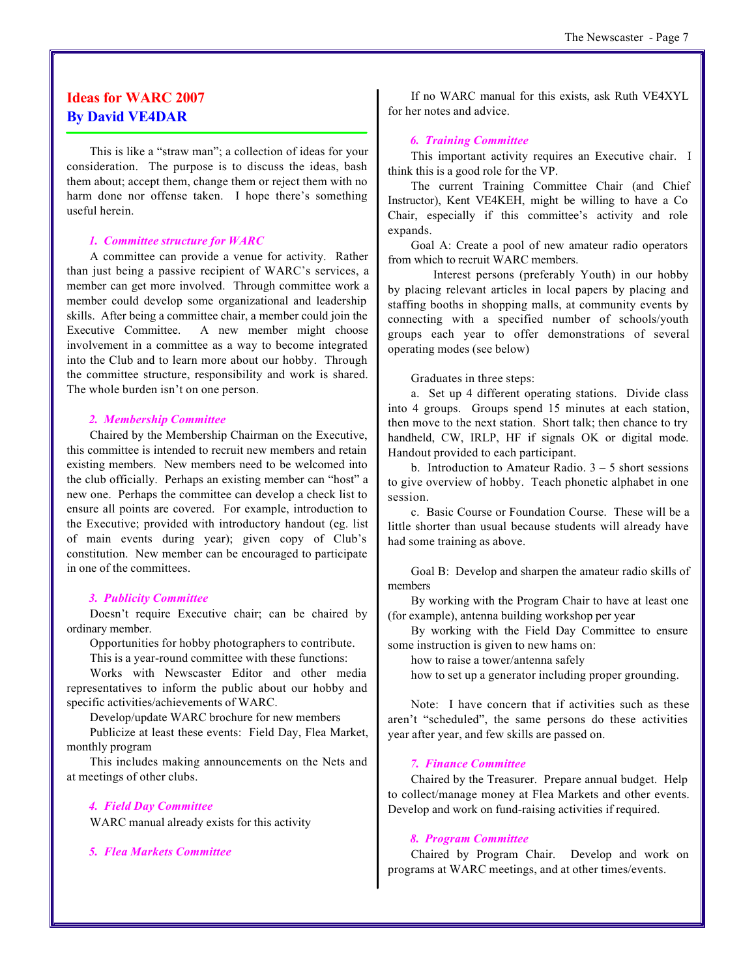# **Ideas for WARC 2007 By David VE4DAR**

This is like a "straw man"; a collection of ideas for your consideration. The purpose is to discuss the ideas, bash them about; accept them, change them or reject them with no harm done nor offense taken. I hope there's something useful herein.

#### *1. Committee structure for WARC*

A committee can provide a venue for activity. Rather than just being a passive recipient of WARC's services, a member can get more involved. Through committee work a member could develop some organizational and leadership skills. After being a committee chair, a member could join the Executive Committee. A new member might choose involvement in a committee as a way to become integrated into the Club and to learn more about our hobby. Through the committee structure, responsibility and work is shared. The whole burden isn't on one person.

#### *2. Membership Committee*

Chaired by the Membership Chairman on the Executive, this committee is intended to recruit new members and retain existing members. New members need to be welcomed into the club officially. Perhaps an existing member can "host" a new one. Perhaps the committee can develop a check list to ensure all points are covered. For example, introduction to the Executive; provided with introductory handout (eg. list of main events during year); given copy of Club's constitution. New member can be encouraged to participate in one of the committees.

#### *3. Publicity Committee*

Doesn't require Executive chair; can be chaired by ordinary member.

Opportunities for hobby photographers to contribute.

This is a year-round committee with these functions:

Works with Newscaster Editor and other media representatives to inform the public about our hobby and specific activities/achievements of WARC.

Develop/update WARC brochure for new members

Publicize at least these events: Field Day, Flea Market, monthly program

This includes making announcements on the Nets and at meetings of other clubs.

#### *4. Field Day Committee*

WARC manual already exists for this activity

*5. Flea Markets Committee*

If no WARC manual for this exists, ask Ruth VE4XYL for her notes and advice.

#### *6. Training Committee*

This important activity requires an Executive chair. I think this is a good role for the VP.

The current Training Committee Chair (and Chief Instructor), Kent VE4KEH, might be willing to have a Co Chair, especially if this committee's activity and role expands.

Goal A: Create a pool of new amateur radio operators from which to recruit WARC members.

Interest persons (preferably Youth) in our hobby by placing relevant articles in local papers by placing and staffing booths in shopping malls, at community events by connecting with a specified number of schools/youth groups each year to offer demonstrations of several operating modes (see below)

Graduates in three steps:

a. Set up 4 different operating stations. Divide class into 4 groups. Groups spend 15 minutes at each station, then move to the next station. Short talk; then chance to try handheld, CW, IRLP, HF if signals OK or digital mode. Handout provided to each participant.

b. Introduction to Amateur Radio.  $3 - 5$  short sessions to give overview of hobby. Teach phonetic alphabet in one session.

c. Basic Course or Foundation Course. These will be a little shorter than usual because students will already have had some training as above.

Goal B: Develop and sharpen the amateur radio skills of members

By working with the Program Chair to have at least one (for example), antenna building workshop per year

By working with the Field Day Committee to ensure some instruction is given to new hams on:

how to raise a tower/antenna safely

how to set up a generator including proper grounding.

Note: I have concern that if activities such as these aren't "scheduled", the same persons do these activities year after year, and few skills are passed on.

#### *7. Finance Committee*

Chaired by the Treasurer. Prepare annual budget. Help to collect/manage money at Flea Markets and other events. Develop and work on fund-raising activities if required.

#### *8. Program Committee*

Chaired by Program Chair. Develop and work on programs at WARC meetings, and at other times/events.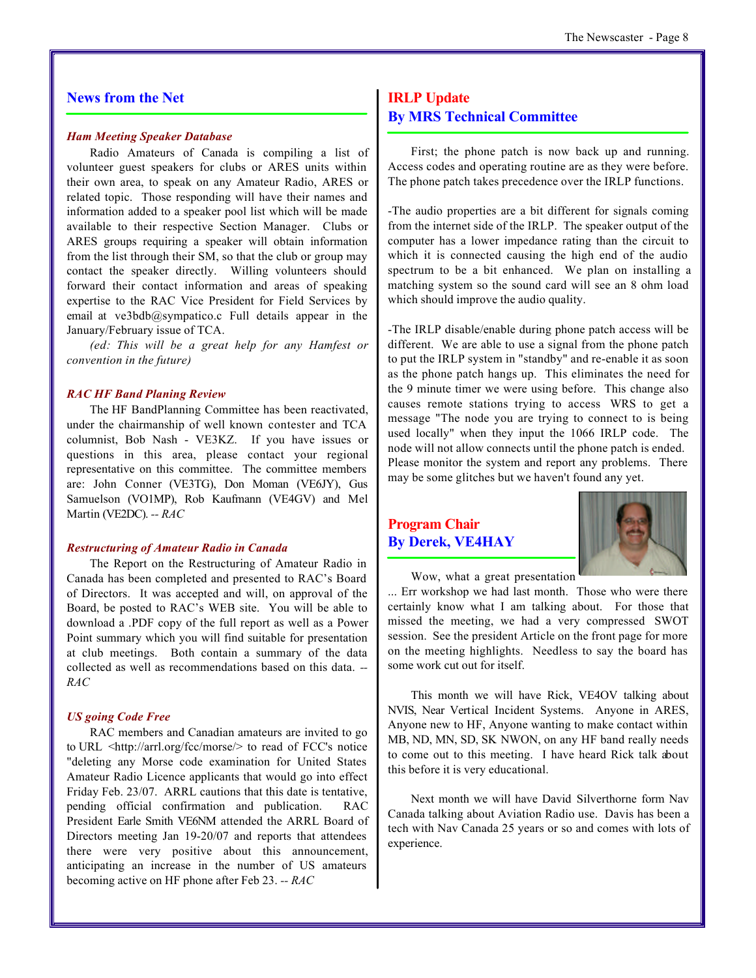## **News from the Net**

#### *Ham Meeting Speaker Database*

Radio Amateurs of Canada is compiling a list of volunteer guest speakers for clubs or ARES units within their own area, to speak on any Amateur Radio, ARES or related topic. Those responding will have their names and information added to a speaker pool list which will be made available to their respective Section Manager. Clubs or ARES groups requiring a speaker will obtain information from the list through their SM, so that the club or group may contact the speaker directly. Willing volunteers should forward their contact information and areas of speaking expertise to the RAC Vice President for Field Services by email at ve3bdb@sympatico.c Full details appear in the January/February issue of TCA.

*(ed: This will be a great help for any Hamfest or convention in the future)*

#### *RAC HF Band Planing Review*

The HF BandPlanning Committee has been reactivated, under the chairmanship of well known contester and TCA columnist, Bob Nash - VE3KZ. If you have issues or questions in this area, please contact your regional representative on this committee. The committee members are: John Conner (VE3TG), Don Moman (VE6JY), Gus Samuelson (VO1MP), Rob Kaufmann (VE4GV) and Mel Martin (VE2DC). *-- RAC*

#### *Restructuring of Amateur Radio in Canada*

The Report on the Restructuring of Amateur Radio in Canada has been completed and presented to RAC's Board of Directors. It was accepted and will, on approval of the Board, be posted to RAC's WEB site. You will be able to download a .PDF copy of the full report as well as a Power Point summary which you will find suitable for presentation at club meetings. Both contain a summary of the data collected as well as recommendations based on this data. *-- RAC*

#### *US going Code Free*

RAC members and Canadian amateurs are invited to go to URL [<http://arrl.org/fcc/morse/>](http://arrl.org/fcc/morse/) to read of FCC's notice "deleting any Morse code examination for United States Amateur Radio Licence applicants that would go into effect Friday Feb. 23/07. ARRL cautions that this date is tentative, pending official confirmation and publication. RAC President Earle Smith VE6NM attended the ARRL Board of Directors meeting Jan 19-20/07 and reports that attendees there were very positive about this announcement, anticipating an increase in the number of US amateurs becoming active on HF phone after Feb 23. *-- RAC*

# **IRLP Update By MRS Technical Committee**

First; the phone patch is now back up and running. Access codes and operating routine are as they were before. The phone patch takes precedence over the IRLP functions.

-The audio properties are a bit different for signals coming from the internet side of the IRLP. The speaker output of the computer has a lower impedance rating than the circuit to which it is connected causing the high end of the audio spectrum to be a bit enhanced. We plan on installing a matching system so the sound card will see an 8 ohm load which should improve the audio quality.

-The IRLP disable/enable during phone patch access will be different. We are able to use a signal from the phone patch to put the IRLP system in "standby" and re-enable it as soon as the phone patch hangs up. This eliminates the need for the 9 minute timer we were using before. This change also causes remote stations trying to access WRS to get a message "The node you are trying to connect to is being used locally" when they input the 1066 IRLP code. The node will not allow connects until the phone patch is ended. Please monitor the system and report any problems. There may be some glitches but we haven't found any yet.

# **Program Chair By Derek, VE4HAY**



Wow, what a great presentation

... Err workshop we had last month. Those who were there certainly know what I am talking about. For those that missed the meeting, we had a very compressed SWOT session. See the president Article on the front page for more on the meeting highlights. Needless to say the board has some work cut out for itself.

This month we will have Rick, VE4OV talking about NVIS, Near Vertical Incident Systems. Anyone in ARES, Anyone new to HF, Anyone wanting to make contact within MB, ND, MN, SD, SK NWON, on any HF band really needs to come out to this meeting. I have heard Rick talk about this before it is very educational.

Next month we will have David Silverthorne form Nav Canada talking about Aviation Radio use. Davis has been a tech with Nav Canada 25 years or so and comes with lots of experience.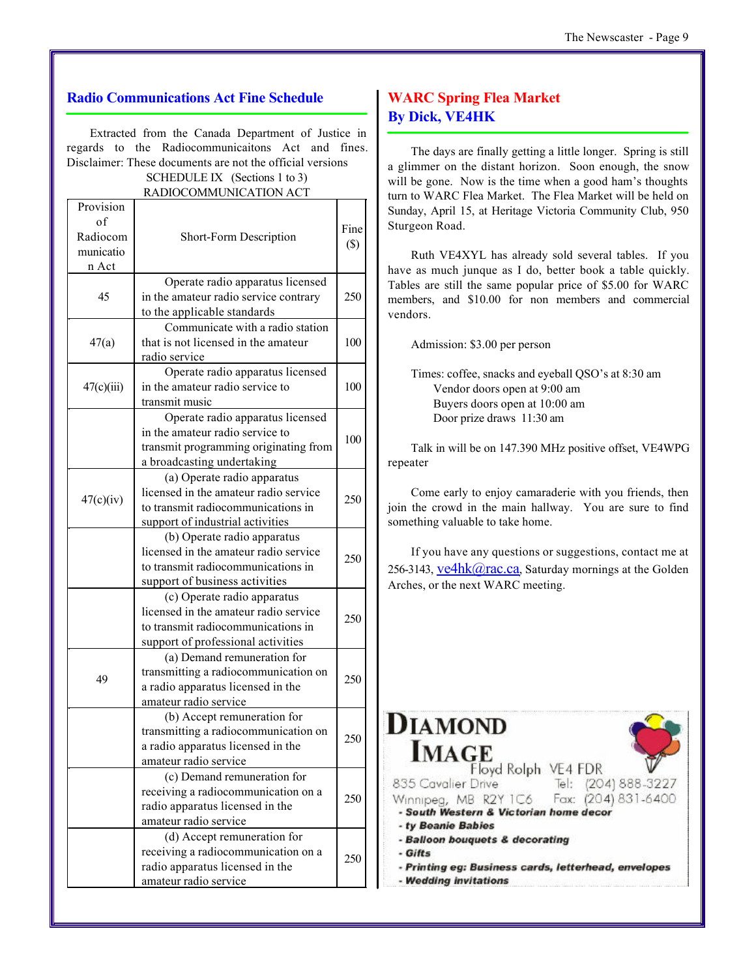## **Radio Communications Act Fine Schedule**

Extracted from the Canada Department of Justice in regards to the Radiocommunicaitons Act and fines. Disclaimer: These documents are not the official versions SCHEDULE IX (Sections 1 to 3)

RADIOCOMMUNICATION ACT

| Provision<br>of<br>Radiocom<br>municatio<br>n Act | Short-Form Description                                                                                                                           | Fine<br>$(\$)$ |
|---------------------------------------------------|--------------------------------------------------------------------------------------------------------------------------------------------------|----------------|
| 45                                                | Operate radio apparatus licensed<br>in the amateur radio service contrary<br>to the applicable standards                                         | 250            |
| 47(a)                                             | Communicate with a radio station<br>that is not licensed in the amateur<br>radio service                                                         | 100            |
| 47(c)(iii)                                        | Operate radio apparatus licensed<br>in the amateur radio service to<br>transmit music                                                            | 100            |
|                                                   | Operate radio apparatus licensed<br>in the amateur radio service to<br>transmit programming originating from<br>a broadcasting undertaking       | 100            |
| 47(c)(iv)                                         | (a) Operate radio apparatus<br>licensed in the amateur radio service<br>to transmit radiocommunications in<br>support of industrial activities   | 250            |
|                                                   | (b) Operate radio apparatus<br>licensed in the amateur radio service<br>to transmit radiocommunications in<br>support of business activities     | 250            |
|                                                   | (c) Operate radio apparatus<br>licensed in the amateur radio service<br>to transmit radiocommunications in<br>support of professional activities | 250            |
| 49                                                | (a) Demand remuneration for<br>transmitting a radiocommunication on<br>a radio apparatus licensed in the<br>amateur radio service                | 250            |
|                                                   | (b) Accept remuneration for<br>transmitting a radiocommunication on<br>a radio apparatus licensed in the<br>amateur radio service                | 250            |
|                                                   | (c) Demand remuneration for<br>receiving a radiocommunication on a<br>radio apparatus licensed in the<br>amateur radio service                   | 250            |
|                                                   | (d) Accept remuneration for<br>receiving a radiocommunication on a<br>radio apparatus licensed in the<br>amateur radio service                   | 250            |

# **WARC Spring Flea Market By Dick, VE4HK**

The days are finally getting a little longer. Spring is still a glimmer on the distant horizon. Soon enough, the snow will be gone. Now is the time when a good ham's thoughts turn to WARC Flea Market. The Flea Market will be held on Sunday, April 15, at Heritage Victoria Community Club, 950 Sturgeon Road.

Ruth VE4XYL has already sold several tables. If you have as much junque as I do, better book a table quickly. Tables are still the same popular price of \$5.00 for WARC members, and \$10.00 for non members and commercial vendors.

Admission: \$3.00 per person

Times: coffee, snacks and eyeball QSO's at 8:30 am Vendor doors open at 9:00 am Buyers doors open at 10:00 am Door prize draws 11:30 am

Talk in will be on 147.390 MHz positive offset, VE4WPG repeater

Come early to enjoy camaraderie with you friends, then join the crowd in the main hallway. You are sure to find something valuable to take home.

If you have any questions or suggestions, contact me at 256-3143,  $ve4hk@rac.ca$ , Saturday mornings at the Golden</u> Arches, or the next WARC meeting.